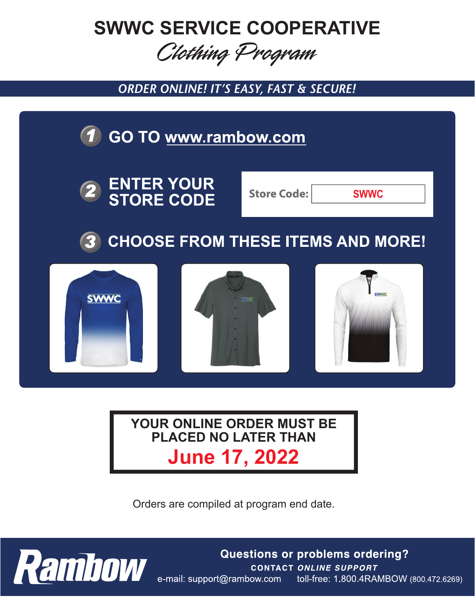# **SWWC SERVICE COOPERATIVE**

## Clothing Program

**ORDER ONLINE! IT'S EASY, FAST & SECURE!** 



### **June 17, 2022 YOUR ONLINE ORDER MUST BE PLACED NO LATER THAN**

Orders are compiled at program end date.



**Questions or problems ordering?** CONTACT ONLINE SUPPORT<br>e-mail: support@rambow.com toll-free: 1.800.4RAMBOW (800.472.6269)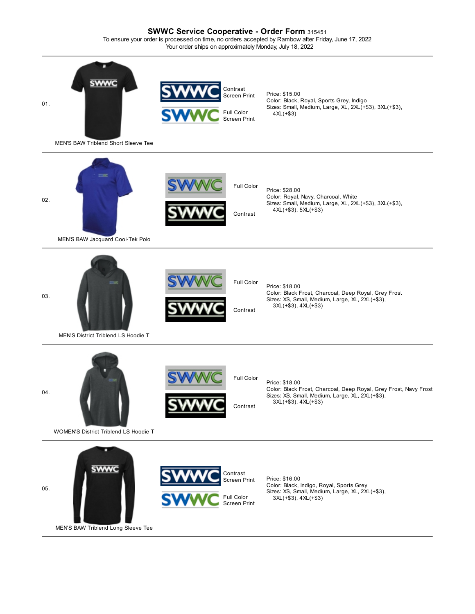#### **SWWC Service Cooperative - Order Form** <sup>315451</sup> To ensure your order is processed on time, no orders accepted by Rambow after Friday, June 17, 2022 Your order ships on approximately Monday, July 18, 2022

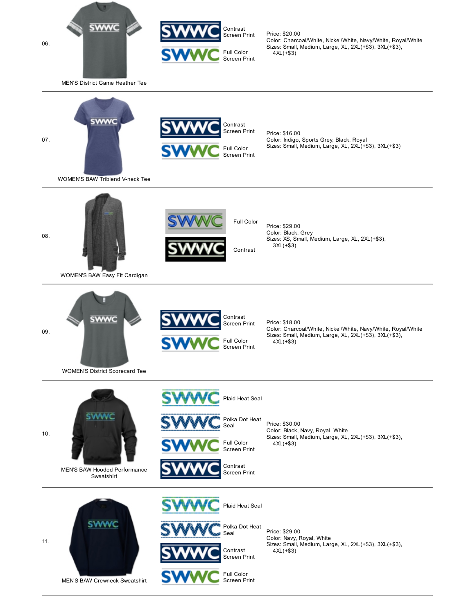



Price: \$20.00 Color: Charcoal/White, Nickel/White, Navy/White, Royal/White Sizes: Small, Medium, Large, XL, 2XL(+\$3), 3XL(+\$3), 4XL(+\$3)

MEN'S District Game Heather Tee



Contrast Screen Print Full Color Screen Print

Price: \$16.00 Color: Indigo, Sports Grey, Black, Royal Sizes: Small, Medium, Large, XL, 2XL(+\$3), 3XL(+\$3)

WOMEN'S BAW Triblend V-neck Tee



WOMEN'S BAW Easy Fit Cardigan



[WOMEN](javascript:;)'[S District Scorecard Tee](javascript:;)



Price: \$29.00 Color: Black, Grey Sizes: XS, Small, Medium, Large, XL, 2XL(+\$3), 3XL(+\$3)

Contrast Screen Print Full Color Screen Print

Price: \$18.00 Color: Charcoal/White, Nickel/White, Navy/White, Royal/White Sizes: Small, Medium, Large, XL, 2XL(+\$3), 3XL(+\$3), 4XL(+\$3)

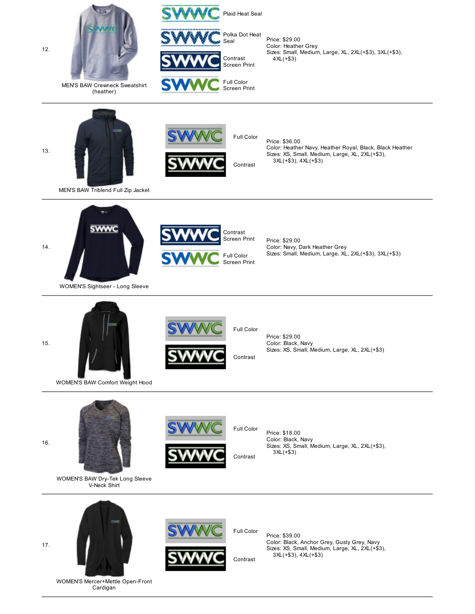

Cardigan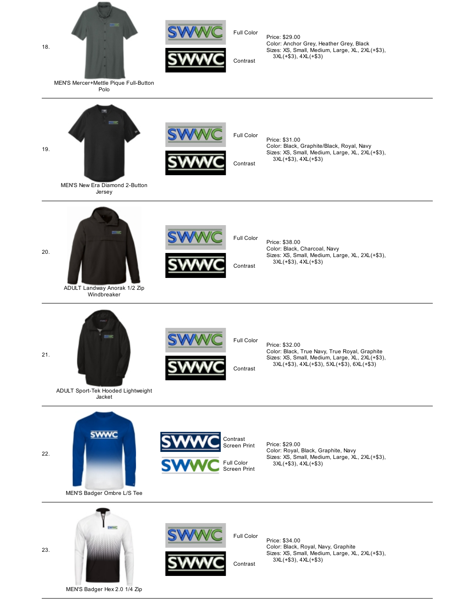



Price: \$29.00 Color: Anchor Grey, Heather Grey, Black Sizes: XS, Small, Medium, Large, XL, 2XL(+\$3), 3XL(+\$3), 4XL(+\$3)

MEN'S Mercer+Mettle Pique Full-Button Polo

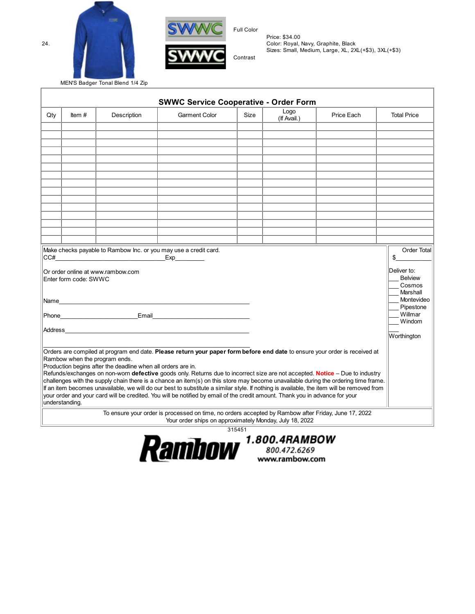



Full Color

Price: \$34.00 Color: Royal, Navy, Graphite, Black Sizes: Small, Medium, Large, XL, 2XL(+\$3), 3XL(+\$3)

MEN'S Badger Tonal Blend 1/4 Zip

|                                                                                                                                                                                                                                |                       |                                                                                               | <b>SWWC Service Cooperative - Order Form</b>                                                                                                                                                                                                                                                                                                                                                                                                                                                                                                                                                                                                                                  |      | Logo        |            |                                                                   |
|--------------------------------------------------------------------------------------------------------------------------------------------------------------------------------------------------------------------------------|-----------------------|-----------------------------------------------------------------------------------------------|-------------------------------------------------------------------------------------------------------------------------------------------------------------------------------------------------------------------------------------------------------------------------------------------------------------------------------------------------------------------------------------------------------------------------------------------------------------------------------------------------------------------------------------------------------------------------------------------------------------------------------------------------------------------------------|------|-------------|------------|-------------------------------------------------------------------|
| Qty                                                                                                                                                                                                                            | Item $#$              | Description                                                                                   | <b>Garment Color</b>                                                                                                                                                                                                                                                                                                                                                                                                                                                                                                                                                                                                                                                          | Size | (If Avail.) | Price Each | <b>Total Price</b>                                                |
|                                                                                                                                                                                                                                |                       |                                                                                               |                                                                                                                                                                                                                                                                                                                                                                                                                                                                                                                                                                                                                                                                               |      |             |            |                                                                   |
|                                                                                                                                                                                                                                |                       |                                                                                               |                                                                                                                                                                                                                                                                                                                                                                                                                                                                                                                                                                                                                                                                               |      |             |            |                                                                   |
|                                                                                                                                                                                                                                |                       |                                                                                               |                                                                                                                                                                                                                                                                                                                                                                                                                                                                                                                                                                                                                                                                               |      |             |            |                                                                   |
|                                                                                                                                                                                                                                |                       |                                                                                               |                                                                                                                                                                                                                                                                                                                                                                                                                                                                                                                                                                                                                                                                               |      |             |            |                                                                   |
|                                                                                                                                                                                                                                |                       |                                                                                               |                                                                                                                                                                                                                                                                                                                                                                                                                                                                                                                                                                                                                                                                               |      |             |            |                                                                   |
|                                                                                                                                                                                                                                |                       |                                                                                               |                                                                                                                                                                                                                                                                                                                                                                                                                                                                                                                                                                                                                                                                               |      |             |            |                                                                   |
|                                                                                                                                                                                                                                |                       |                                                                                               |                                                                                                                                                                                                                                                                                                                                                                                                                                                                                                                                                                                                                                                                               |      |             |            |                                                                   |
|                                                                                                                                                                                                                                |                       |                                                                                               |                                                                                                                                                                                                                                                                                                                                                                                                                                                                                                                                                                                                                                                                               |      |             |            |                                                                   |
|                                                                                                                                                                                                                                |                       |                                                                                               |                                                                                                                                                                                                                                                                                                                                                                                                                                                                                                                                                                                                                                                                               |      |             |            |                                                                   |
|                                                                                                                                                                                                                                |                       |                                                                                               |                                                                                                                                                                                                                                                                                                                                                                                                                                                                                                                                                                                                                                                                               |      |             |            |                                                                   |
|                                                                                                                                                                                                                                |                       |                                                                                               |                                                                                                                                                                                                                                                                                                                                                                                                                                                                                                                                                                                                                                                                               |      |             |            |                                                                   |
|                                                                                                                                                                                                                                |                       |                                                                                               |                                                                                                                                                                                                                                                                                                                                                                                                                                                                                                                                                                                                                                                                               |      |             |            |                                                                   |
|                                                                                                                                                                                                                                |                       |                                                                                               |                                                                                                                                                                                                                                                                                                                                                                                                                                                                                                                                                                                                                                                                               |      |             |            |                                                                   |
| Make checks payable to Rambow Inc. or you may use a credit card.<br>CC#<br>Exp                                                                                                                                                 |                       |                                                                                               |                                                                                                                                                                                                                                                                                                                                                                                                                                                                                                                                                                                                                                                                               |      |             |            | Order Total<br>\$                                                 |
|                                                                                                                                                                                                                                | Enter form code: SWWC | Or order online at www.rambow.com                                                             |                                                                                                                                                                                                                                                                                                                                                                                                                                                                                                                                                                                                                                                                               |      |             |            | Deliver to:<br><b>Belview</b><br>Cosmos<br>Marshall<br>Montevideo |
| Phone Email Email Charles Contract of the Charles Charles Charles Charles Charles Charles Charles Charles Charles Charles Charles Charles Charles Charles Charles Charles Charles Charles Charles Charles Charles Charles Char |                       |                                                                                               |                                                                                                                                                                                                                                                                                                                                                                                                                                                                                                                                                                                                                                                                               |      |             |            | Pipestone<br>Willmar<br>Windom                                    |
|                                                                                                                                                                                                                                |                       |                                                                                               |                                                                                                                                                                                                                                                                                                                                                                                                                                                                                                                                                                                                                                                                               |      |             |            | Worthington                                                       |
|                                                                                                                                                                                                                                |                       | Rambow when the program ends.<br>Production begins after the deadline when all orders are in. | Orders are compiled at program end date. Please return your paper form before end date to ensure your order is received at<br>Refunds/exchanges on non-worn defective goods only. Returns due to incorrect size are not accepted. Notice - Due to industry<br>challenges with the supply chain there is a chance an item(s) on this store may become unavailable during the ordering time frame.<br>If an item becomes unavailable, we will do our best to substitute a similar style. If nothing is available, the item will be removed from<br>your order and your card will be credited. You will be notified by email of the credit amount. Thank you in advance for your |      |             |            |                                                                   |
|                                                                                                                                                                                                                                | understanding.        |                                                                                               |                                                                                                                                                                                                                                                                                                                                                                                                                                                                                                                                                                                                                                                                               |      |             |            |                                                                   |